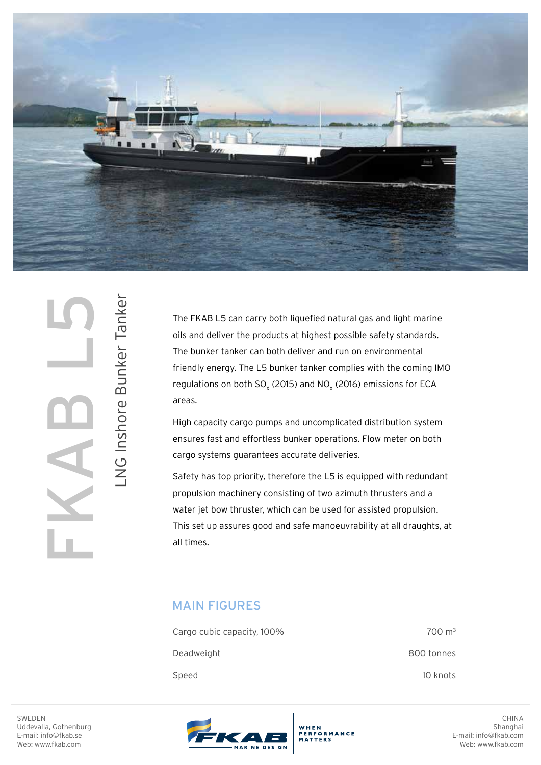

SWEDEN<br>Uddevalla, Gothenburg<br>E-mail: info@fkab.se<br>Web: www.fkab.com

LNG Inshore Bunker Tanker

LNG Inshore Bunker Tanker

The FKAB L5 can carry both liquefied natural gas and light marine oils and deliver the products at highest possible safety standards. The bunker tanker can both deliver and run on environmental friendly energy. The L5 bunker tanker complies with the coming IMO regulations on both  $SO_x$  (2015) and NO<sub>x</sub> (2016) emissions for ECA areas.

High capacity cargo pumps and uncomplicated distribution system ensures fast and effortless bunker operations. Flow meter on both cargo systems guarantees accurate deliveries.

Safety has top priority, therefore the L5 is equipped with redundant propulsion machinery consisting of two azimuth thrusters and a water jet bow thruster, which can be used for assisted propulsion. This set up assures good and safe manoeuvrability at all draughts, at all times.

## MAIN FIGURES

| Cargo cubic capacity, 100% | $700 \text{ m}^3$ |
|----------------------------|-------------------|
| Deadweight                 | 800 tonnes        |
| Speed                      | 10 knots          |

SWEDEN Uddevalla, Gothenburg E-mail: info@fkab.se Web: www.fkab.com



WHEN **PERFORMANCE**<br>MATTERS

CHINA Shanghai E-mail: info@fkab.com Web: www.fkab.com